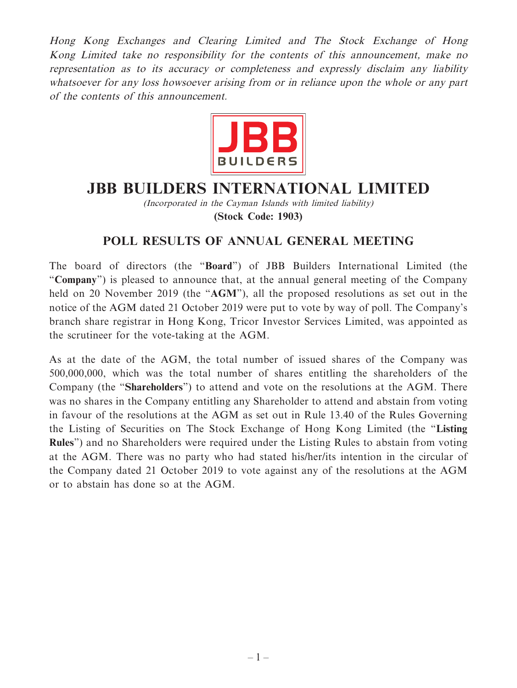Hong Kong Exchanges and Clearing Limited and The Stock Exchange of Hong Kong Limited take no responsibility for the contents of this announcement, make no representation as to its accuracy or completeness and expressly disclaim any liability whatsoever for any loss howsoever arising from or in reliance upon the whole or any part of the contents of this announcement.



## **JBB BUILDERS INTERNATIONAL LIMITED**

(Incorporated in the Cayman Islands with limited liability) **(Stock Code: 1903)**

## **POLL RESULTS OF ANNUAL GENERAL MEETING**

The board of directors (the "**Board**") of JBB Builders International Limited (the "**Company**") is pleased to announce that, at the annual general meeting of the Company held on 20 November 2019 (the "**AGM**"), all the proposed resolutions as set out in the notice of the AGM dated 21 October 2019 were put to vote by way of poll. The Company's branch share registrar in Hong Kong, Tricor Investor Services Limited, was appointed as the scrutineer for the vote-taking at the AGM.

As at the date of the AGM, the total number of issued shares of the Company was 500,000,000, which was the total number of shares entitling the shareholders of the Company (the "**Shareholders**") to attend and vote on the resolutions at the AGM. There was no shares in the Company entitling any Shareholder to attend and abstain from voting in favour of the resolutions at the AGM as set out in Rule 13.40 of the Rules Governing the Listing of Securities on The Stock Exchange of Hong Kong Limited (the "**Listing Rules**") and no Shareholders were required under the Listing Rules to abstain from voting at the AGM. There was no party who had stated his/her/its intention in the circular of the Company dated 21 October 2019 to vote against any of the resolutions at the AGM or to abstain has done so at the AGM.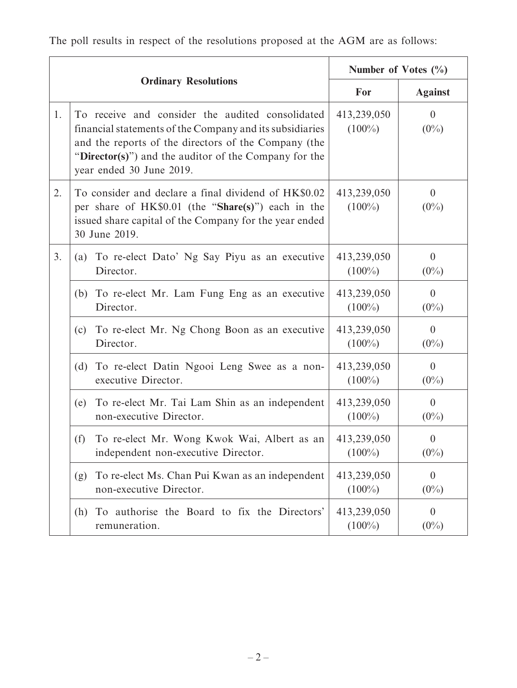|    |                                                                                                                                                                                                                                                           |                                                                                    | Number of Votes $(\%$    |                             |
|----|-----------------------------------------------------------------------------------------------------------------------------------------------------------------------------------------------------------------------------------------------------------|------------------------------------------------------------------------------------|--------------------------|-----------------------------|
|    | <b>Ordinary Resolutions</b>                                                                                                                                                                                                                               |                                                                                    | For                      | <b>Against</b>              |
| 1. | To receive and consider the audited consolidated<br>financial statements of the Company and its subsidiaries<br>and the reports of the directors of the Company (the<br>"Director(s)") and the auditor of the Company for the<br>year ended 30 June 2019. |                                                                                    | 413,239,050<br>$(100\%)$ | $\overline{0}$<br>$(0\%)$   |
| 2. | To consider and declare a final dividend of HK\$0.02<br>413,239,050<br>$\theta$<br>$(0\%)$<br>per share of HK\$0.01 (the "Share(s)") each in the<br>$(100\%)$<br>issued share capital of the Company for the year ended<br>30 June 2019.                  |                                                                                    |                          |                             |
| 3. | (a)                                                                                                                                                                                                                                                       | To re-elect Dato' Ng Say Piyu as an executive<br>Director.                         | 413,239,050<br>$(100\%)$ | $\overline{0}$<br>$(0\%)$   |
|    | (b)                                                                                                                                                                                                                                                       | To re-elect Mr. Lam Fung Eng as an executive<br>Director.                          | 413,239,050<br>$(100\%)$ | $\overline{0}$<br>$(0\%)$   |
|    | (c)                                                                                                                                                                                                                                                       | To re-elect Mr. Ng Chong Boon as an executive<br>Director.                         | 413,239,050<br>$(100\%)$ | $\overline{0}$<br>$(0\%)$   |
|    | (d)                                                                                                                                                                                                                                                       | To re-elect Datin Ngooi Leng Swee as a non-<br>executive Director.                 | 413,239,050<br>$(100\%)$ | $\mathbf{0}$<br>$(0\%)$     |
|    | (e)                                                                                                                                                                                                                                                       | To re-elect Mr. Tai Lam Shin as an independent<br>non-executive Director.          | 413,239,050<br>$(100\%)$ | $\overline{0}$<br>$(0\%)$   |
|    | (f)                                                                                                                                                                                                                                                       | To re-elect Mr. Wong Kwok Wai, Albert as an<br>independent non-executive Director. | 413,239,050<br>$(100\%)$ | $\boldsymbol{0}$<br>$(0\%)$ |
|    | (g)                                                                                                                                                                                                                                                       | To re-elect Ms. Chan Pui Kwan as an independent<br>non-executive Director.         | 413,239,050<br>$(100\%)$ | $\overline{0}$<br>$(0\%)$   |
|    | (h)                                                                                                                                                                                                                                                       | To authorise the Board to fix the Directors'<br>remuneration.                      | 413,239,050<br>$(100\%)$ | $\theta$<br>$(0\%)$         |

The poll results in respect of the resolutions proposed at the AGM are as follows: